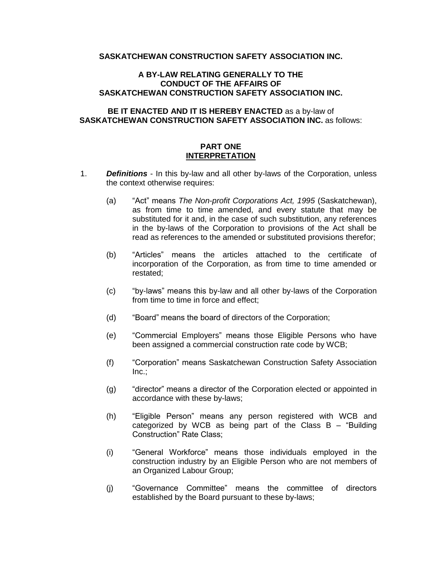### **SASKATCHEWAN CONSTRUCTION SAFETY ASSOCIATION INC.**

### **A BY-LAW RELATING GENERALLY TO THE CONDUCT OF THE AFFAIRS OF SASKATCHEWAN CONSTRUCTION SAFETY ASSOCIATION INC.**

### **BE IT ENACTED AND IT IS HEREBY ENACTED** as a by-law of **SASKATCHEWAN CONSTRUCTION SAFETY ASSOCIATION INC.** as follows:

#### **PART ONE INTERPRETATION**

- 1. *Definitions* In this by-law and all other by-laws of the Corporation, unless the context otherwise requires:
	- (a) "Act" means *The Non-profit Corporations Act, 1995* (Saskatchewan), as from time to time amended, and every statute that may be substituted for it and, in the case of such substitution, any references in the by-laws of the Corporation to provisions of the Act shall be read as references to the amended or substituted provisions therefor;
	- (b) "Articles" means the articles attached to the certificate of incorporation of the Corporation, as from time to time amended or restated;
	- (c) "by-laws" means this by-law and all other by-laws of the Corporation from time to time in force and effect;
	- (d) "Board" means the board of directors of the Corporation;
	- (e) "Commercial Employers" means those Eligible Persons who have been assigned a commercial construction rate code by WCB;
	- (f) "Corporation" means Saskatchewan Construction Safety Association  $Inc.:$
	- (g) "director" means a director of the Corporation elected or appointed in accordance with these by-laws;
	- (h) "Eligible Person" means any person registered with WCB and categorized by WCB as being part of the Class  $B -$  "Building Construction" Rate Class;
	- (i) "General Workforce" means those individuals employed in the construction industry by an Eligible Person who are not members of an Organized Labour Group;
	- (j) "Governance Committee" means the committee of directors established by the Board pursuant to these by-laws;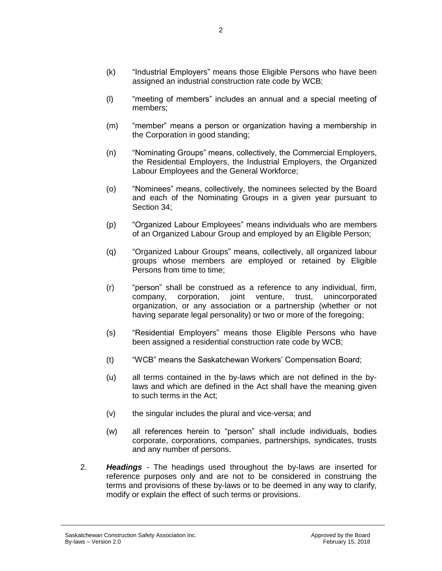- (k) "Industrial Employers" means those Eligible Persons who have been assigned an industrial construction rate code by WCB;
- (l) "meeting of members" includes an annual and a special meeting of members;
- (m) "member" means a person or organization having a membership in the Corporation in good standing;
- (n) "Nominating Groups" means, collectively, the Commercial Employers, the Residential Employers, the Industrial Employers, the Organized Labour Employees and the General Workforce;
- (o) "Nominees" means, collectively, the nominees selected by the Board and each of the Nominating Groups in a given year pursuant to Section [34;](#page-9-0)
- (p) "Organized Labour Employees" means individuals who are members of an Organized Labour Group and employed by an Eligible Person;
- (q) "Organized Labour Groups" means, collectively, all organized labour groups whose members are employed or retained by Eligible Persons from time to time;
- (r) "person" shall be construed as a reference to any individual, firm, company, corporation, joint venture, trust, unincorporated organization, or any association or a partnership (whether or not having separate legal personality) or two or more of the foregoing;
- (s) "Residential Employers" means those Eligible Persons who have been assigned a residential construction rate code by WCB;
- (t) "WCB" means the Saskatchewan Workers' Compensation Board;
- (u) all terms contained in the by-laws which are not defined in the bylaws and which are defined in the Act shall have the meaning given to such terms in the Act;
- (v) the singular includes the plural and vice-versa; and
- (w) all references herein to "person" shall include individuals, bodies corporate, corporations, companies, partnerships, syndicates, trusts and any number of persons.
- 2. *Headings* The headings used throughout the by-laws are inserted for reference purposes only and are not to be considered in construing the terms and provisions of these by-laws or to be deemed in any way to clarify, modify or explain the effect of such terms or provisions.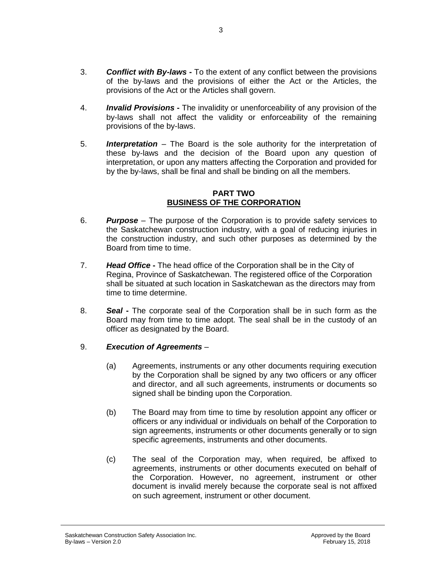- 3. *Conflict with By-laws* **-** To the extent of any conflict between the provisions of the by-laws and the provisions of either the Act or the Articles, the provisions of the Act or the Articles shall govern.
- 4. *Invalid Provisions* **-** The invalidity or unenforceability of any provision of the by-laws shall not affect the validity or enforceability of the remaining provisions of the by-laws.
- 5. *Interpretation* The Board is the sole authority for the interpretation of these by-laws and the decision of the Board upon any question of interpretation, or upon any matters affecting the Corporation and provided for by the by-laws, shall be final and shall be binding on all the members.

## **PART TWO BUSINESS OF THE CORPORATION**

- 6. *Purpose* The purpose of the Corporation is to provide safety services to the Saskatchewan construction industry, with a goal of reducing injuries in the construction industry, and such other purposes as determined by the Board from time to time.
- 7. *Head Office* **-** The head office of the Corporation shall be in the City of Regina, Province of Saskatchewan. The registered office of the Corporation shall be situated at such location in Saskatchewan as the directors may from time to time determine.
- 8. *Seal* **-** The corporate seal of the Corporation shall be in such form as the Board may from time to time adopt. The seal shall be in the custody of an officer as designated by the Board.

# 9. *Execution of Agreements* –

- (a) Agreements, instruments or any other documents requiring execution by the Corporation shall be signed by any two officers or any officer and director, and all such agreements, instruments or documents so signed shall be binding upon the Corporation.
- (b) The Board may from time to time by resolution appoint any officer or officers or any individual or individuals on behalf of the Corporation to sign agreements, instruments or other documents generally or to sign specific agreements, instruments and other documents.
- (c) The seal of the Corporation may, when required, be affixed to agreements, instruments or other documents executed on behalf of the Corporation. However, no agreement, instrument or other document is invalid merely because the corporate seal is not affixed on such agreement, instrument or other document.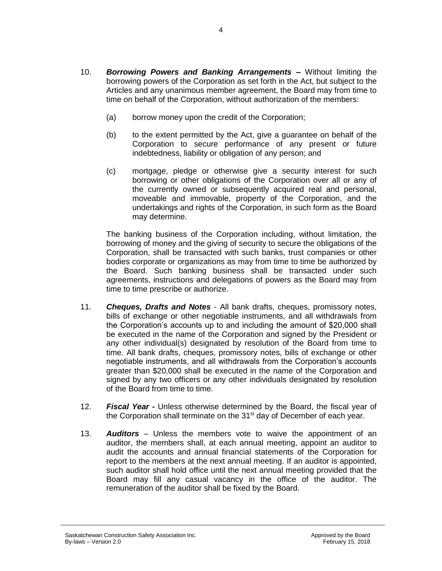- 10. *Borrowing Powers and Banking Arrangements* **–** Without limiting the borrowing powers of the Corporation as set forth in the Act, but subject to the Articles and any unanimous member agreement, the Board may from time to time on behalf of the Corporation, without authorization of the members:
	- (a) borrow money upon the credit of the Corporation;
	- (b) to the extent permitted by the Act, give a guarantee on behalf of the Corporation to secure performance of any present or future indebtedness, liability or obligation of any person; and
	- (c) mortgage, pledge or otherwise give a security interest for such borrowing or other obligations of the Corporation over all or any of the currently owned or subsequently acquired real and personal, moveable and immovable, property of the Corporation, and the undertakings and rights of the Corporation, in such form as the Board may determine.

The banking business of the Corporation including, without limitation, the borrowing of money and the giving of security to secure the obligations of the Corporation, shall be transacted with such banks, trust companies or other bodies corporate or organizations as may from time to time be authorized by the Board. Such banking business shall be transacted under such agreements, instructions and delegations of powers as the Board may from time to time prescribe or authorize.

- 11. *Cheques, Drafts and Notes* All bank drafts, cheques, promissory notes, bills of exchange or other negotiable instruments, and all withdrawals from the Corporation's accounts up to and including the amount of \$20,000 shall be executed in the name of the Corporation and signed by the President or any other individual(s) designated by resolution of the Board from time to time. All bank drafts, cheques, promissory notes, bills of exchange or other negotiable instruments, and all withdrawals from the Corporation's accounts greater than \$20,000 shall be executed in the name of the Corporation and signed by any two officers or any other individuals designated by resolution of the Board from time to time.
- 12. *Fiscal Year* **-** Unless otherwise determined by the Board, the fiscal year of the Corporation shall terminate on the 31<sup>st</sup> day of December of each year.
- 13. *Auditors –* Unless the members vote to waive the appointment of an auditor, the members shall, at each annual meeting, appoint an auditor to audit the accounts and annual financial statements of the Corporation for report to the members at the next annual meeting. If an auditor is appointed, such auditor shall hold office until the next annual meeting provided that the Board may fill any casual vacancy in the office of the auditor. The remuneration of the auditor shall be fixed by the Board.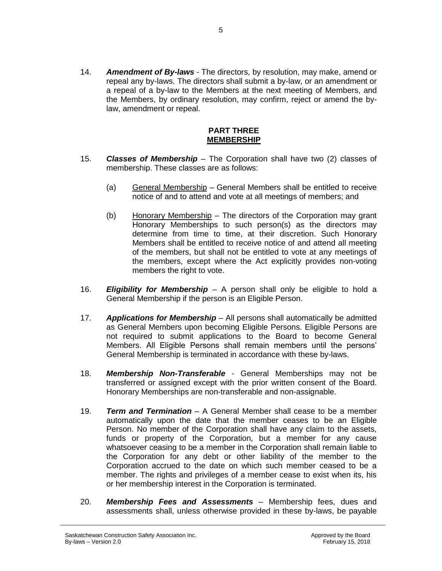14. *Amendment of By-laws* - The directors, by resolution, may make, amend or repeal any by-laws. The directors shall submit a by-law, or an amendment or a repeal of a by-law to the Members at the next meeting of Members, and the Members, by ordinary resolution, may confirm, reject or amend the bylaw, amendment or repeal.

### **PART THREE MEMBERSHIP**

- 15. *Classes of Membership* The Corporation shall have two (2) classes of membership. These classes are as follows:
	- (a) General Membership General Members shall be entitled to receive notice of and to attend and vote at all meetings of members; and
	- (b) Honorary Membership The directors of the Corporation may grant Honorary Memberships to such person(s) as the directors may determine from time to time, at their discretion. Such Honorary Members shall be entitled to receive notice of and attend all meeting of the members, but shall not be entitled to vote at any meetings of the members, except where the Act explicitly provides non-voting members the right to vote.
- 16. *Eligibility for Membership* A person shall only be eligible to hold a General Membership if the person is an Eligible Person.
- 17. *Applications for Membership* All persons shall automatically be admitted as General Members upon becoming Eligible Persons. Eligible Persons are not required to submit applications to the Board to become General Members. All Eligible Persons shall remain members until the persons' General Membership is terminated in accordance with these by-laws.
- 18. *Membership Non-Transferable* General Memberships may not be transferred or assigned except with the prior written consent of the Board. Honorary Memberships are non-transferable and non-assignable.
- 19. *Term and Termination* A General Member shall cease to be a member automatically upon the date that the member ceases to be an Eligible Person. No member of the Corporation shall have any claim to the assets, funds or property of the Corporation, but a member for any cause whatsoever ceasing to be a member in the Corporation shall remain liable to the Corporation for any debt or other liability of the member to the Corporation accrued to the date on which such member ceased to be a member. The rights and privileges of a member cease to exist when its, his or her membership interest in the Corporation is terminated.
- 20. *Membership Fees and Assessments* Membership fees, dues and assessments shall, unless otherwise provided in these by-laws, be payable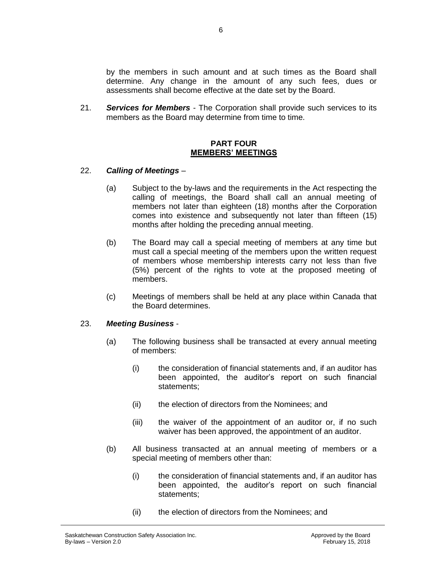by the members in such amount and at such times as the Board shall determine. Any change in the amount of any such fees, dues or assessments shall become effective at the date set by the Board.

21. *Services for Members* - The Corporation shall provide such services to its members as the Board may determine from time to time.

### **PART FOUR MEMBERS' MEETINGS**

### 22. *Calling of Meetings* –

- (a) Subject to the by-laws and the requirements in the Act respecting the calling of meetings, the Board shall call an annual meeting of members not later than eighteen (18) months after the Corporation comes into existence and subsequently not later than fifteen (15) months after holding the preceding annual meeting.
- (b) The Board may call a special meeting of members at any time but must call a special meeting of the members upon the written request of members whose membership interests carry not less than five (5%) percent of the rights to vote at the proposed meeting of members.
- (c) Meetings of members shall be held at any place within Canada that the Board determines.

## 23. *Meeting Business* -

- (a) The following business shall be transacted at every annual meeting of members:
	- (i) the consideration of financial statements and, if an auditor has been appointed, the auditor's report on such financial statements;
	- (ii) the election of directors from the Nominees; and
	- (iii) the waiver of the appointment of an auditor or, if no such waiver has been approved, the appointment of an auditor.
- (b) All business transacted at an annual meeting of members or a special meeting of members other than:
	- (i) the consideration of financial statements and, if an auditor has been appointed, the auditor's report on such financial statements;
	- (ii) the election of directors from the Nominees; and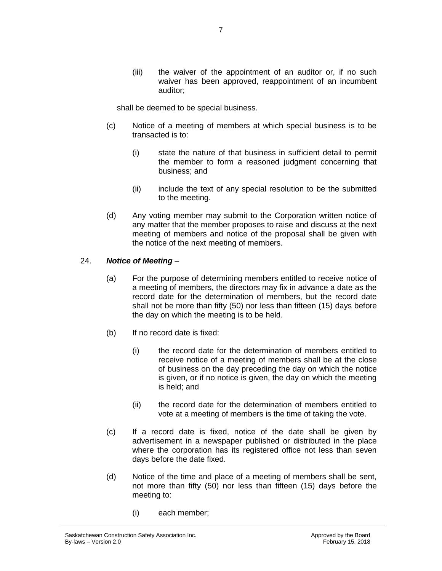(iii) the waiver of the appointment of an auditor or, if no such waiver has been approved, reappointment of an incumbent auditor;

shall be deemed to be special business.

- (c) Notice of a meeting of members at which special business is to be transacted is to:
	- (i) state the nature of that business in sufficient detail to permit the member to form a reasoned judgment concerning that business; and
	- (ii) include the text of any special resolution to be the submitted to the meeting.
- (d) Any voting member may submit to the Corporation written notice of any matter that the member proposes to raise and discuss at the next meeting of members and notice of the proposal shall be given with the notice of the next meeting of members.

## <span id="page-6-0"></span>24. *Notice of Meeting* –

- (a) For the purpose of determining members entitled to receive notice of a meeting of members, the directors may fix in advance a date as the record date for the determination of members, but the record date shall not be more than fifty (50) nor less than fifteen (15) days before the day on which the meeting is to be held.
- (b) If no record date is fixed:
	- (i) the record date for the determination of members entitled to receive notice of a meeting of members shall be at the close of business on the day preceding the day on which the notice is given, or if no notice is given, the day on which the meeting is held; and
	- (ii) the record date for the determination of members entitled to vote at a meeting of members is the time of taking the vote.
- (c) If a record date is fixed, notice of the date shall be given by advertisement in a newspaper published or distributed in the place where the corporation has its registered office not less than seven days before the date fixed.
- (d) Notice of the time and place of a meeting of members shall be sent, not more than fifty (50) nor less than fifteen (15) days before the meeting to:
	- (i) each member;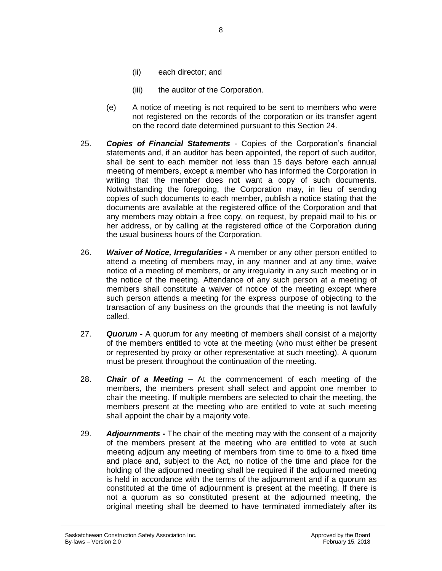- (ii) each director; and
- (iii) the auditor of the Corporation.
- (e) A notice of meeting is not required to be sent to members who were not registered on the records of the corporation or its transfer agent on the record date determined pursuant to this Section [24.](#page-6-0)
- 25. *Copies of Financial Statements* Copies of the Corporation's financial statements and, if an auditor has been appointed, the report of such auditor, shall be sent to each member not less than 15 days before each annual meeting of members, except a member who has informed the Corporation in writing that the member does not want a copy of such documents. Notwithstanding the foregoing, the Corporation may, in lieu of sending copies of such documents to each member, publish a notice stating that the documents are available at the registered office of the Corporation and that any members may obtain a free copy, on request, by prepaid mail to his or her address, or by calling at the registered office of the Corporation during the usual business hours of the Corporation.
- 26. *Waiver of Notice, Irregularities* **-** A member or any other person entitled to attend a meeting of members may, in any manner and at any time, waive notice of a meeting of members, or any irregularity in any such meeting or in the notice of the meeting. Attendance of any such person at a meeting of members shall constitute a waiver of notice of the meeting except where such person attends a meeting for the express purpose of objecting to the transaction of any business on the grounds that the meeting is not lawfully called.
- 27. *Quorum* **-** A quorum for any meeting of members shall consist of a majority of the members entitled to vote at the meeting (who must either be present or represented by proxy or other representative at such meeting). A quorum must be present throughout the continuation of the meeting.
- 28. *Chair of a Meeting* **–** At the commencement of each meeting of the members, the members present shall select and appoint one member to chair the meeting. If multiple members are selected to chair the meeting, the members present at the meeting who are entitled to vote at such meeting shall appoint the chair by a majority vote.
- 29. *Adjournments* **-** The chair of the meeting may with the consent of a majority of the members present at the meeting who are entitled to vote at such meeting adjourn any meeting of members from time to time to a fixed time and place and, subject to the Act, no notice of the time and place for the holding of the adjourned meeting shall be required if the adjourned meeting is held in accordance with the terms of the adjournment and if a quorum as constituted at the time of adjournment is present at the meeting. If there is not a quorum as so constituted present at the adjourned meeting, the original meeting shall be deemed to have terminated immediately after its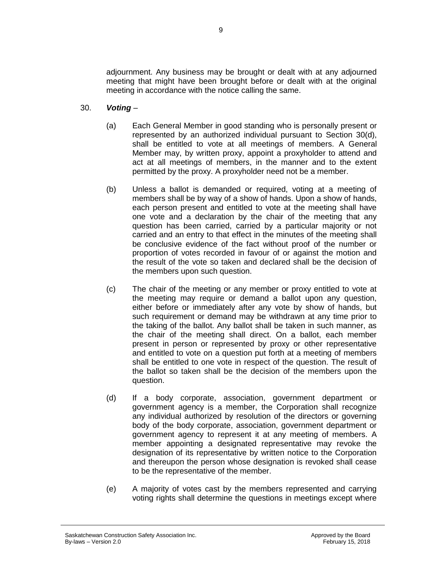adjournment. Any business may be brought or dealt with at any adjourned meeting that might have been brought before or dealt with at the original meeting in accordance with the notice calling the same.

- <span id="page-8-1"></span><span id="page-8-0"></span>30. *Voting* –
	- (a) Each General Member in good standing who is personally present or represented by an authorized individual pursuant to Section [30](#page-8-0)[\(d\),](#page-8-1) shall be entitled to vote at all meetings of members. A General Member may, by written proxy, appoint a proxyholder to attend and act at all meetings of members, in the manner and to the extent permitted by the proxy. A proxyholder need not be a member.
	- (b) Unless a ballot is demanded or required, voting at a meeting of members shall be by way of a show of hands. Upon a show of hands, each person present and entitled to vote at the meeting shall have one vote and a declaration by the chair of the meeting that any question has been carried, carried by a particular majority or not carried and an entry to that effect in the minutes of the meeting shall be conclusive evidence of the fact without proof of the number or proportion of votes recorded in favour of or against the motion and the result of the vote so taken and declared shall be the decision of the members upon such question.
	- (c) The chair of the meeting or any member or proxy entitled to vote at the meeting may require or demand a ballot upon any question, either before or immediately after any vote by show of hands, but such requirement or demand may be withdrawn at any time prior to the taking of the ballot. Any ballot shall be taken in such manner, as the chair of the meeting shall direct. On a ballot, each member present in person or represented by proxy or other representative and entitled to vote on a question put forth at a meeting of members shall be entitled to one vote in respect of the question. The result of the ballot so taken shall be the decision of the members upon the question.
	- (d) If a body corporate, association, government department or government agency is a member, the Corporation shall recognize any individual authorized by resolution of the directors or governing body of the body corporate, association, government department or government agency to represent it at any meeting of members. A member appointing a designated representative may revoke the designation of its representative by written notice to the Corporation and thereupon the person whose designation is revoked shall cease to be the representative of the member.
	- (e) A majority of votes cast by the members represented and carrying voting rights shall determine the questions in meetings except where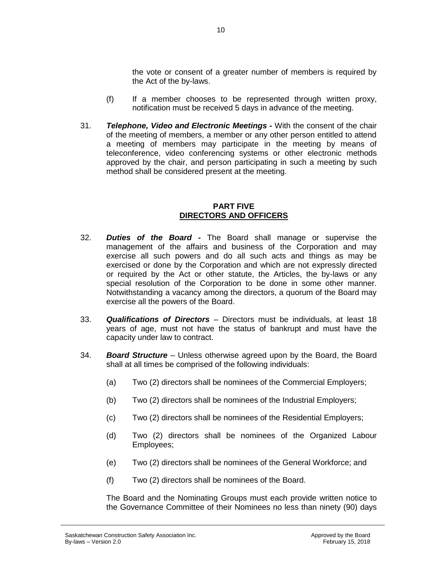the vote or consent of a greater number of members is required by the Act of the by-laws.

- (f) If a member chooses to be represented through written proxy, notification must be received 5 days in advance of the meeting.
- 31. *Telephone, Video and Electronic Meetings* **-** With the consent of the chair of the meeting of members, a member or any other person entitled to attend a meeting of members may participate in the meeting by means of teleconference, video conferencing systems or other electronic methods approved by the chair, and person participating in such a meeting by such method shall be considered present at the meeting.

## **PART FIVE DIRECTORS AND OFFICERS**

- 32. *Duties of the Board -* The Board shall manage or supervise the management of the affairs and business of the Corporation and may exercise all such powers and do all such acts and things as may be exercised or done by the Corporation and which are not expressly directed or required by the Act or other statute, the Articles, the by-laws or any special resolution of the Corporation to be done in some other manner. Notwithstanding a vacancy among the directors, a quorum of the Board may exercise all the powers of the Board.
- 33. *Qualifications of Directors* Directors must be individuals, at least 18 years of age, must not have the status of bankrupt and must have the capacity under law to contract.
- <span id="page-9-0"></span>34. *Board Structure* – Unless otherwise agreed upon by the Board, the Board shall at all times be comprised of the following individuals:
	- (a) Two (2) directors shall be nominees of the Commercial Employers;
	- (b) Two (2) directors shall be nominees of the Industrial Employers;
	- (c) Two (2) directors shall be nominees of the Residential Employers;
	- (d) Two (2) directors shall be nominees of the Organized Labour Employees;
	- (e) Two (2) directors shall be nominees of the General Workforce; and
	- (f) Two (2) directors shall be nominees of the Board.

The Board and the Nominating Groups must each provide written notice to the Governance Committee of their Nominees no less than ninety (90) days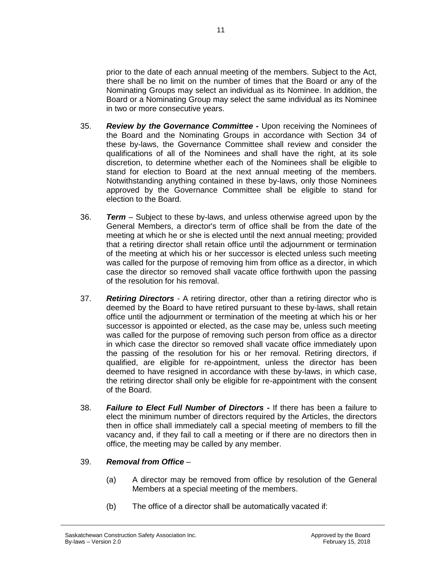prior to the date of each annual meeting of the members. Subject to the Act, there shall be no limit on the number of times that the Board or any of the Nominating Groups may select an individual as its Nominee. In addition, the Board or a Nominating Group may select the same individual as its Nominee in two or more consecutive years.

- 35. *Review by the Governance Committee -* Upon receiving the Nominees of the Board and the Nominating Groups in accordance with Section [34](#page-9-0) of these by-laws, the Governance Committee shall review and consider the qualifications of all of the Nominees and shall have the right, at its sole discretion, to determine whether each of the Nominees shall be eligible to stand for election to Board at the next annual meeting of the members. Notwithstanding anything contained in these by-laws, only those Nominees approved by the Governance Committee shall be eligible to stand for election to the Board.
- 36. *Term*  Subject to these by-laws, and unless otherwise agreed upon by the General Members, a director's term of office shall be from the date of the meeting at which he or she is elected until the next annual meeting; provided that a retiring director shall retain office until the adjournment or termination of the meeting at which his or her successor is elected unless such meeting was called for the purpose of removing him from office as a director, in which case the director so removed shall vacate office forthwith upon the passing of the resolution for his removal.
- 37. *Retiring Directors* A retiring director, other than a retiring director who is deemed by the Board to have retired pursuant to these by-laws, shall retain office until the adjournment or termination of the meeting at which his or her successor is appointed or elected, as the case may be, unless such meeting was called for the purpose of removing such person from office as a director in which case the director so removed shall vacate office immediately upon the passing of the resolution for his or her removal. Retiring directors, if qualified, are eligible for re-appointment, unless the director has been deemed to have resigned in accordance with these by-laws, in which case, the retiring director shall only be eligible for re-appointment with the consent of the Board.
- 38. *Failure to Elect Full Number of Directors -* If there has been a failure to elect the minimum number of directors required by the Articles, the directors then in office shall immediately call a special meeting of members to fill the vacancy and, if they fail to call a meeting or if there are no directors then in office, the meeting may be called by any member.

# 39. *Removal from Office* –

- (a) A director may be removed from office by resolution of the General Members at a special meeting of the members.
- (b) The office of a director shall be automatically vacated if: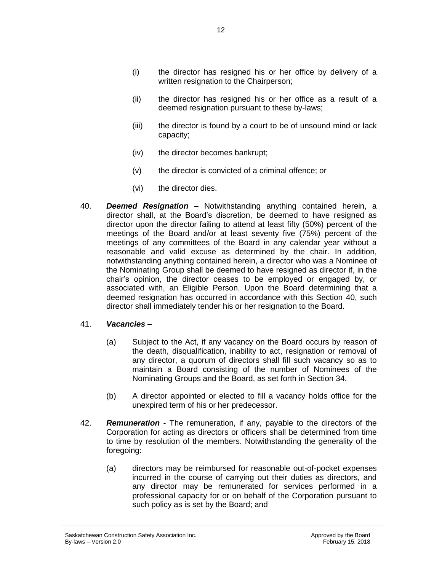- (i) the director has resigned his or her office by delivery of a written resignation to the Chairperson;
- (ii) the director has resigned his or her office as a result of a deemed resignation pursuant to these by-laws;
- (iii) the director is found by a court to be of unsound mind or lack capacity;
- (iv) the director becomes bankrupt;
- (v) the director is convicted of a criminal offence; or
- (vi) the director dies.
- <span id="page-11-0"></span>40. *Deemed Resignation* – Notwithstanding anything contained herein, a director shall, at the Board's discretion, be deemed to have resigned as director upon the director failing to attend at least fifty (50%) percent of the meetings of the Board and/or at least seventy five (75%) percent of the meetings of any committees of the Board in any calendar year without a reasonable and valid excuse as determined by the chair. In addition, notwithstanding anything contained herein, a director who was a Nominee of the Nominating Group shall be deemed to have resigned as director if, in the chair's opinion, the director ceases to be employed or engaged by, or associated with, an Eligible Person. Upon the Board determining that a deemed resignation has occurred in accordance with this Section [40,](#page-11-0) such director shall immediately tender his or her resignation to the Board.

## 41. *Vacancies* –

- (a) Subject to the Act, if any vacancy on the Board occurs by reason of the death, disqualification, inability to act, resignation or removal of any director, a quorum of directors shall fill such vacancy so as to maintain a Board consisting of the number of Nominees of the Nominating Groups and the Board, as set forth in Section 34.
- (b) A director appointed or elected to fill a vacancy holds office for the unexpired term of his or her predecessor.
- 42. *Remuneration* The remuneration, if any, payable to the directors of the Corporation for acting as directors or officers shall be determined from time to time by resolution of the members. Notwithstanding the generality of the foregoing:
	- (a) directors may be reimbursed for reasonable out-of-pocket expenses incurred in the course of carrying out their duties as directors, and any director may be remunerated for services performed in a professional capacity for or on behalf of the Corporation pursuant to such policy as is set by the Board; and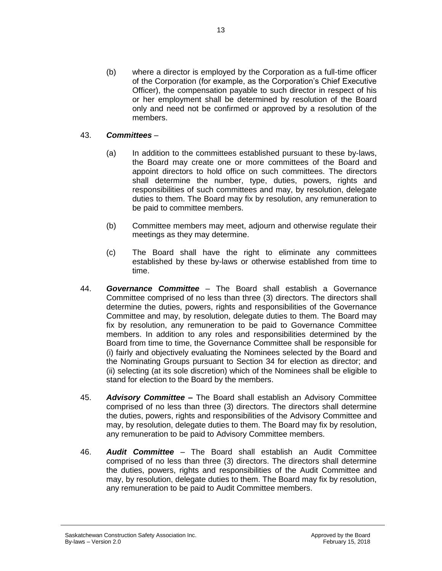(b) where a director is employed by the Corporation as a full-time officer of the Corporation (for example, as the Corporation's Chief Executive Officer), the compensation payable to such director in respect of his or her employment shall be determined by resolution of the Board only and need not be confirmed or approved by a resolution of the members.

## 43. *Committees* –

- (a) In addition to the committees established pursuant to these by-laws, the Board may create one or more committees of the Board and appoint directors to hold office on such committees. The directors shall determine the number, type, duties, powers, rights and responsibilities of such committees and may, by resolution, delegate duties to them. The Board may fix by resolution, any remuneration to be paid to committee members.
- (b) Committee members may meet, adjourn and otherwise regulate their meetings as they may determine.
- (c) The Board shall have the right to eliminate any committees established by these by-laws or otherwise established from time to time.
- 44. *Governance Committee –* The Board shall establish a Governance Committee comprised of no less than three (3) directors. The directors shall determine the duties, powers, rights and responsibilities of the Governance Committee and may, by resolution, delegate duties to them. The Board may fix by resolution, any remuneration to be paid to Governance Committee members. In addition to any roles and responsibilities determined by the Board from time to time, the Governance Committee shall be responsible for (i) fairly and objectively evaluating the Nominees selected by the Board and the Nominating Groups pursuant to Section [34](#page-9-0) for election as director; and (ii) selecting (at its sole discretion) which of the Nominees shall be eligible to stand for election to the Board by the members.
- 45. *Advisory Committee –* The Board shall establish an Advisory Committee comprised of no less than three (3) directors. The directors shall determine the duties, powers, rights and responsibilities of the Advisory Committee and may, by resolution, delegate duties to them. The Board may fix by resolution, any remuneration to be paid to Advisory Committee members.
- 46. *Audit Committee*  The Board shall establish an Audit Committee comprised of no less than three (3) directors. The directors shall determine the duties, powers, rights and responsibilities of the Audit Committee and may, by resolution, delegate duties to them. The Board may fix by resolution, any remuneration to be paid to Audit Committee members.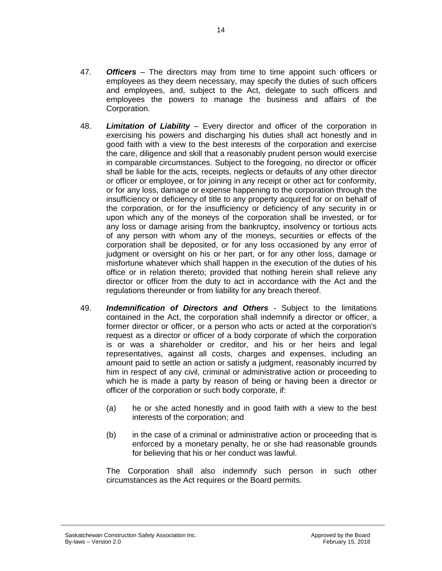- 47. *Officers* The directors may from time to time appoint such officers or employees as they deem necessary, may specify the duties of such officers and employees, and, subject to the Act, delegate to such officers and employees the powers to manage the business and affairs of the Corporation.
- 48. *Limitation of Liability* Every director and officer of the corporation in exercising his powers and discharging his duties shall act honestly and in good faith with a view to the best interests of the corporation and exercise the care, diligence and skill that a reasonably prudent person would exercise in comparable circumstances. Subject to the foregoing, no director or officer shall be liable for the acts, receipts, neglects or defaults of any other director or officer or employee, or for joining in any receipt or other act for conformity, or for any loss, damage or expense happening to the corporation through the insufficiency or deficiency of title to any property acquired for or on behalf of the corporation, or for the insufficiency or deficiency of any security in or upon which any of the moneys of the corporation shall be invested, or for any loss or damage arising from the bankruptcy, insolvency or tortious acts of any person with whom any of the moneys, securities or effects of the corporation shall be deposited, or for any loss occasioned by any error of judgment or oversight on his or her part, or for any other loss, damage or misfortune whatever which shall happen in the execution of the duties of his office or in relation thereto; provided that nothing herein shall relieve any director or officer from the duty to act in accordance with the Act and the regulations thereunder or from liability for any breach thereof.
- 49. *Indemnification of Directors and Others* Subject to the limitations contained in the Act, the corporation shall indemnify a director or officer, a former director or officer, or a person who acts or acted at the corporation's request as a director or officer of a body corporate of which the corporation is or was a shareholder or creditor, and his or her heirs and legal representatives, against all costs, charges and expenses, including an amount paid to settle an action or satisfy a judgment, reasonably incurred by him in respect of any civil, criminal or administrative action or proceeding to which he is made a party by reason of being or having been a director or officer of the corporation or such body corporate, if:
	- (a) he or she acted honestly and in good faith with a view to the best interests of the corporation; and
	- (b) in the case of a criminal or administrative action or proceeding that is enforced by a monetary penalty, he or she had reasonable grounds for believing that his or her conduct was lawful.

The Corporation shall also indemnify such person in such other circumstances as the Act requires or the Board permits.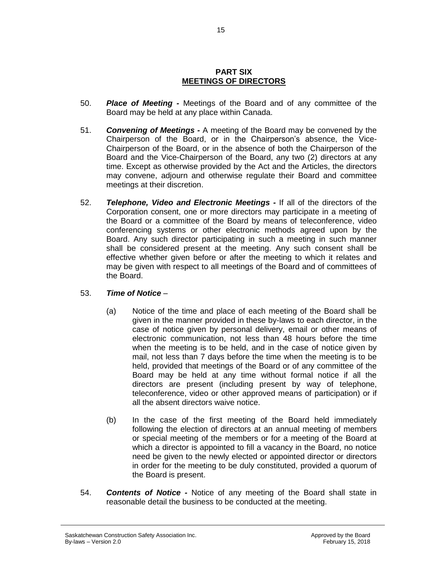## **PART SIX MEETINGS OF DIRECTORS**

- 50. *Place of Meeting -* Meetings of the Board and of any committee of the Board may be held at any place within Canada.
- 51. *Convening of Meetings -* A meeting of the Board may be convened by the Chairperson of the Board, or in the Chairperson's absence, the Vice-Chairperson of the Board, or in the absence of both the Chairperson of the Board and the Vice-Chairperson of the Board, any two (2) directors at any time. Except as otherwise provided by the Act and the Articles, the directors may convene, adjourn and otherwise regulate their Board and committee meetings at their discretion.
- 52. *Telephone, Video and Electronic Meetings -* If all of the directors of the Corporation consent, one or more directors may participate in a meeting of the Board or a committee of the Board by means of teleconference, video conferencing systems or other electronic methods agreed upon by the Board. Any such director participating in such a meeting in such manner shall be considered present at the meeting. Any such consent shall be effective whether given before or after the meeting to which it relates and may be given with respect to all meetings of the Board and of committees of the Board.

## 53. *Time of Notice* –

- (a) Notice of the time and place of each meeting of the Board shall be given in the manner provided in these by-laws to each director, in the case of notice given by personal delivery, email or other means of electronic communication, not less than 48 hours before the time when the meeting is to be held, and in the case of notice given by mail, not less than 7 days before the time when the meeting is to be held, provided that meetings of the Board or of any committee of the Board may be held at any time without formal notice if all the directors are present (including present by way of telephone, teleconference, video or other approved means of participation) or if all the absent directors waive notice.
- (b) In the case of the first meeting of the Board held immediately following the election of directors at an annual meeting of members or special meeting of the members or for a meeting of the Board at which a director is appointed to fill a vacancy in the Board, no notice need be given to the newly elected or appointed director or directors in order for the meeting to be duly constituted, provided a quorum of the Board is present.
- 54. *Contents of Notice -* Notice of any meeting of the Board shall state in reasonable detail the business to be conducted at the meeting.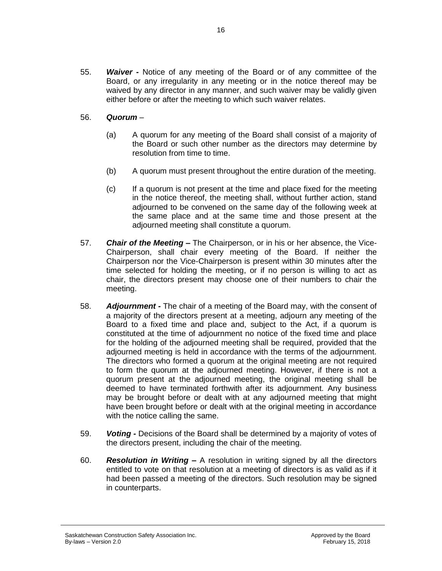55. *Waiver -* Notice of any meeting of the Board or of any committee of the Board, or any irregularity in any meeting or in the notice thereof may be waived by any director in any manner, and such waiver may be validly given either before or after the meeting to which such waiver relates.

## 56. *Quorum* –

- (a) A quorum for any meeting of the Board shall consist of a majority of the Board or such other number as the directors may determine by resolution from time to time.
- (b) A quorum must present throughout the entire duration of the meeting.
- (c) If a quorum is not present at the time and place fixed for the meeting in the notice thereof, the meeting shall, without further action, stand adjourned to be convened on the same day of the following week at the same place and at the same time and those present at the adjourned meeting shall constitute a quorum.
- 57. *Chair of the Meeting –* The Chairperson, or in his or her absence, the Vice-Chairperson, shall chair every meeting of the Board. If neither the Chairperson nor the Vice-Chairperson is present within 30 minutes after the time selected for holding the meeting, or if no person is willing to act as chair, the directors present may choose one of their numbers to chair the meeting.
- 58. *Adjournment -* The chair of a meeting of the Board may, with the consent of a majority of the directors present at a meeting, adjourn any meeting of the Board to a fixed time and place and, subject to the Act, if a quorum is constituted at the time of adjournment no notice of the fixed time and place for the holding of the adjourned meeting shall be required, provided that the adjourned meeting is held in accordance with the terms of the adjournment. The directors who formed a quorum at the original meeting are not required to form the quorum at the adjourned meeting. However, if there is not a quorum present at the adjourned meeting, the original meeting shall be deemed to have terminated forthwith after its adjournment. Any business may be brought before or dealt with at any adjourned meeting that might have been brought before or dealt with at the original meeting in accordance with the notice calling the same.
- 59. *Voting -* Decisions of the Board shall be determined by a majority of votes of the directors present, including the chair of the meeting.
- 60. *Resolution in Writing –* A resolution in writing signed by all the directors entitled to vote on that resolution at a meeting of directors is as valid as if it had been passed a meeting of the directors. Such resolution may be signed in counterparts.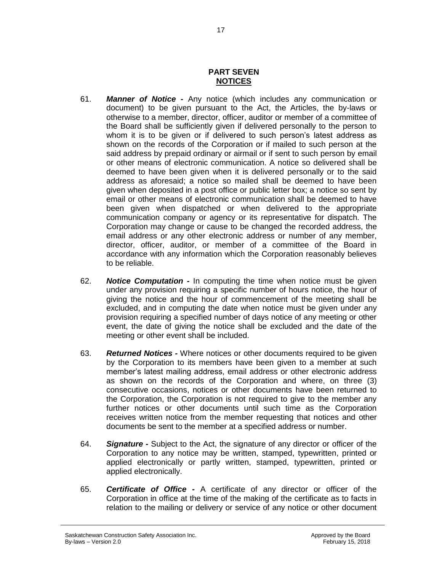## **PART SEVEN NOTICES**

- 61. *Manner of Notice -* Any notice (which includes any communication or document) to be given pursuant to the Act, the Articles, the by-laws or otherwise to a member, director, officer, auditor or member of a committee of the Board shall be sufficiently given if delivered personally to the person to whom it is to be given or if delivered to such person's latest address as shown on the records of the Corporation or if mailed to such person at the said address by prepaid ordinary or airmail or if sent to such person by email or other means of electronic communication. A notice so delivered shall be deemed to have been given when it is delivered personally or to the said address as aforesaid; a notice so mailed shall be deemed to have been given when deposited in a post office or public letter box; a notice so sent by email or other means of electronic communication shall be deemed to have been given when dispatched or when delivered to the appropriate communication company or agency or its representative for dispatch. The Corporation may change or cause to be changed the recorded address, the email address or any other electronic address or number of any member, director, officer, auditor, or member of a committee of the Board in accordance with any information which the Corporation reasonably believes to be reliable.
- 62. *Notice Computation -* In computing the time when notice must be given under any provision requiring a specific number of hours notice, the hour of giving the notice and the hour of commencement of the meeting shall be excluded, and in computing the date when notice must be given under any provision requiring a specified number of days notice of any meeting or other event, the date of giving the notice shall be excluded and the date of the meeting or other event shall be included.
- 63. *Returned Notices -* Where notices or other documents required to be given by the Corporation to its members have been given to a member at such member's latest mailing address, email address or other electronic address as shown on the records of the Corporation and where, on three (3) consecutive occasions, notices or other documents have been returned to the Corporation, the Corporation is not required to give to the member any further notices or other documents until such time as the Corporation receives written notice from the member requesting that notices and other documents be sent to the member at a specified address or number.
- 64. *Signature -* Subject to the Act, the signature of any director or officer of the Corporation to any notice may be written, stamped, typewritten, printed or applied electronically or partly written, stamped, typewritten, printed or applied electronically.
- 65. *Certificate of Office -* A certificate of any director or officer of the Corporation in office at the time of the making of the certificate as to facts in relation to the mailing or delivery or service of any notice or other document